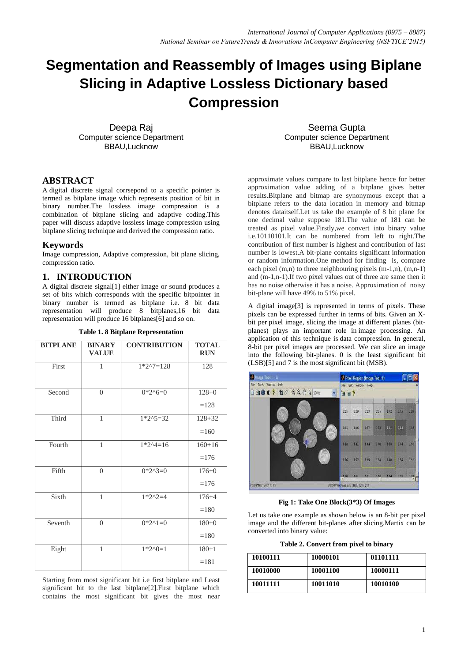# **Segmentation and Reassembly of Images using Biplane Slicing in Adaptive Lossless Dictionary based Compression**

Deepa Raj Computer science Department BBAU,Lucknow

Seema Gupta Computer science Department BBAU,Lucknow

#### **ABSTRACT**

A digital discrete signal corrsepond to a specific pointer is termed as bitplane image which represents position of bit in binary number.The lossless image compression is a combination of bitplane slicing and adaptive coding.This paper will discuss adaptive lossless image compression using bitplane slicing technique and derived the compression ratio.

#### **Keywords**

Image compression, Adaptive compression, bit plane slicing, compression ratio.

#### **1. INTRODUCTION**

A digital discrete signal[1] either image or sound produces a set of bits which corresponds with the specific bitpointer in binary number is termed as bitplane i.e. 8 bit data representation will produce 8 bitplanes,16 bit data representation will produce 16 bitplanes[6] and so on.

| <b>BITPLANE</b> | <b>BINARY</b><br><b>VALUE</b> | <b>CONTRIBUTION</b> | <b>TOTAL</b><br><b>RUN</b> |
|-----------------|-------------------------------|---------------------|----------------------------|
| First           | 1                             | $1*2^27=128$        | 128                        |
| Second          | $\theta$                      | $0*2^6=0$           | $128+0$<br>$=128$          |
| Third           | 1                             | $1*2^5=32$          | $128 + 32$<br>$=160$       |
| Fourth          | $\mathbf{1}$                  | $1*2^4=16$          | $160 + 16$<br>$=176$       |
| Fifth           | $\theta$                      | $0*2^3=0$           | $176 + 0$<br>$=176$        |
| Sixth           | $\mathbf{1}$                  | $1*2^2=4$           | $176 + 4$<br>$=180$        |
| Seventh         | $\theta$                      | $0*2^1=0$           | $180+0$<br>$=180$          |
| Eight           | $\mathbf{1}$                  | $1*2^00=1$          | $180 + 1$<br>$=181$        |

**Table 1. 8 Bitplane Representation**

Starting from most significant bit i.e first bitplane and Least significant bit to the last bitplane[2].First bitplane which contains the most significant bit gives the most near

approximate values compare to last bitplane hence for better approximation value adding of a bitplane gives better results.Bitplane and bitmap are synonymous except that a bitplane refers to the data location in memory and bitmap denotes dataitself.Let us take the example of 8 bit plane for one decimal value suppose 181.The value of 181 can be treated as pixel value.Firstly,we convert into binary value i.e.10110101.It can be numbered from left to right.The contribution of first number is highest and contribution of last number is lowest.A bit-plane contains significant information or random information.One method for finding is, compare each pixel (m,n) to three neighbouring pixels (m-1,n), (m,n-1) and (m-1,n-1).If two pixel values out of three are same then it has no noise otherwise it has a noise. Approximation of noisy bit-plane will have 49% to 51% pixel.

A digital image[3] is represented in terms of pixels. These pixels can be expressed further in terms of bits. Given an Xbit per pixel image, slicing the image at different planes (bitplanes) plays an important role in image processing. An application of this technique is data compression. In general, 8-bit per pixel images are processed. We can slice an image into the following bit-planes. 0 is the least significant bit (LSB)[5] and 7 is the most significant bit (MSB).



**Fig 1: Take One Block(3\*3) Of Images**

Let us take one example as shown below is an 8-bit per pixel image and the different bit-planes after slicing.Martix can be converted into binary value:

**Table 2. Convert from pixel to binary**

| 10100111 | 10000101 | 01101111 |
|----------|----------|----------|
| 10010000 | 10001100 | 10000111 |
| 10011111 | 10011010 | 10010100 |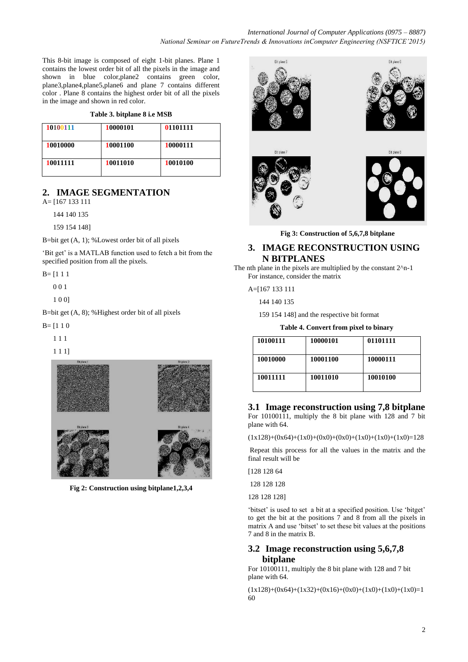This 8-bit image is composed of eight 1-bit planes. Plane 1 contains the lowest order bit of all the pixels in the image and shown in blue color,plane2 contains green color, plane3,plane4,plane5,plane6 and plane 7 contains different color . Plane 8 contains the highest order bit of all the pixels in the image and shown in red color.

#### **Table 3. bitplane 8 i.e MSB**

| 10100111 | 10000101 | 01101111 |
|----------|----------|----------|
| 10010000 | 10001100 | 10000111 |
| 10011111 | 10011010 | 10010100 |

# **2. IMAGE SEGMENTATION**

A= [167 133 111

144 140 135

159 154 148]

B=bit get (A, 1); %Lowest order bit of all pixels

'Bit get' is a MATLAB function used to fetch a bit from the specified position from all the pixels.

 $B = 1111$ 

0 0 1

1 0 0]

B=bit get (A, 8); %Highest order bit of all pixels

 $B = [1 1 0]$ 

1 1 1

1 1 1]



**Fig 2: Construction using bitplane1,2,3,4**



**Fig 3: Construction of 5,6,7,8 bitplane**

## **3. IMAGE RECONSTRUCTION USING N BITPLANES**

The nth plane in the pixels are multiplied by the constant 2^n-1 For instance, consider the matrix

A=[167 133 111

144 140 135

159 154 148] and the respective bit format

|  | Table 4. Convert from pixel to binary |  |  |  |
|--|---------------------------------------|--|--|--|
|  |                                       |  |  |  |

| 10100111 | 10000101 | 01101111 |
|----------|----------|----------|
| 10010000 | 10001100 | 10000111 |
| 10011111 | 10011010 | 10010100 |

#### **3.1 Image reconstruction using 7,8 bitplane**

For 10100111, multiply the 8 bit plane with 128 and 7 bit plane with 64.

 $(1x128)+(0x64)+(1x0)+(0x0)+(0x0)+(1x0)+(1x0)+(1x0)=128$ 

Repeat this process for all the values in the matrix and the final result will be

[128 128 64

128 128 128

128 128 128]

"bitset" is used to set a bit at a specified position. Use "bitget" to get the bit at the positions 7 and 8 from all the pixels in matrix A and use "bitset" to set these bit values at the positions 7 and 8 in the matrix B.

## **3.2 Image reconstruction using 5,6,7,8 bitplane**

For 10100111, multiply the 8 bit plane with 128 and 7 bit plane with 64.

 $(1x128)+(0x64)+(1x32)+(0x16)+(0x0)+(1x0)+(1x0)+(1x0)=1$ 60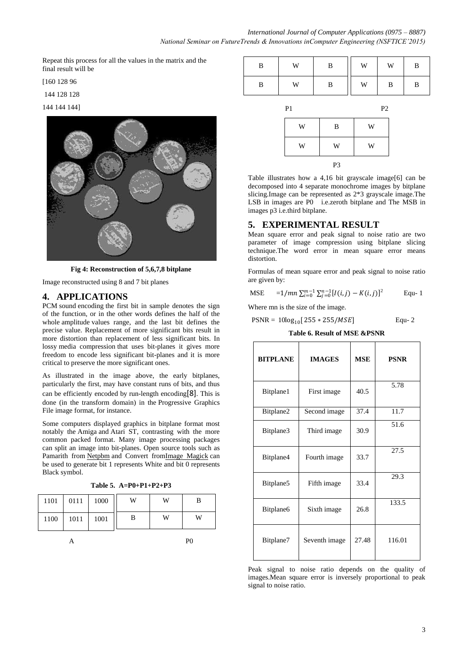Repeat this process for all the values in the matrix and the final result will be

[160 128 96

144 128 128

144 144 144]



**Fig 4: Reconstruction of 5,6,7,8 bitplane**

Image reconstructed using 8 and 7 bit planes

## **4. APPLICATIONS**

[PCM](http://en.wikipedia.org/wiki/Pulse-code_modulation) sound [encoding](http://en.wikipedia.org/wiki/Code) the first bit in sample denotes the sign of the function, or in the other words defines the half of the whole [amplitude](http://en.wikipedia.org/wiki/Amplitude) values range, and the last bit defines the precise value. Replacement of more significant bits result in more distortion than replacement of less significant bits. In lossy [media compression](http://en.wikipedia.org/wiki/Data_compression) that uses bit-planes it gives more freedom to encode less significant bit-planes and it is more critical to preserve the more significant ones.

As illustrated in the image above, the early bitplanes, particularly the first, may have constant runs of bits, and thus can be efficiently encoded by [run-length encoding](http://en.wikipedia.org/wiki/Run-length_encoding)[8]. This is done (in the transform domain) in the [Progressive Graphics](http://en.wikipedia.org/wiki/Progressive_Graphics_File)  [File](http://en.wikipedia.org/wiki/Progressive_Graphics_File) image format, for instance.

Some computers displayed graphics in bitplane format most notably the [Amiga](http://en.wikipedia.org/wiki/Amiga) and [Atari ST,](http://en.wikipedia.org/wiki/Atari_ST) contrasting with the more common packed format. Many image processing packages can split an image into bit-planes. Open source tools such as Pamarith from [Netpbm](http://en.wikipedia.org/wiki/Netpbm) and Convert from Image Magick can be used to generate bit 1 represents White and bit 0 represents Black symbol.

| Table 5. A=P0+P1+P2+P3 |
|------------------------|
|------------------------|

| 1101 | 0111 | 1000 | W | W | в |
|------|------|------|---|---|---|
| 1100 | 1011 | 1001 | B | W | W |
| PC.  |      |      |   |   |   |

| B | W | в | W | W | В |
|---|---|---|---|---|---|
| В | W | B | W | B | B |

| P <sub>1</sub> |    | P <sub>2</sub> |
|----------------|----|----------------|
| W              | B  | W              |
| W              | W  | W              |
|                | P3 |                |

Table illustrates how a 4,16 bit grayscale image[6] can be decomposed into 4 separate monochrome images by bitplane slicing.Image can be represented as 2\*3 grayscale image.The LSB in images are P0 i.e.zeroth bitplane and The MSB in images p3 i.e.third bitplane.

#### **5. EXPERIMENTAL RESULT**

Mean square error and peak signal to noise ratio are two parameter of image compression using bitplane slicing technique.The word error in mean square error means distortion.

Formulas of mean square error and peak signal to noise ratio are given by:

MSE 
$$
=1/mn \sum_{i=0}^{m-1} \sum_{j=0}^{n-1} [I(i,j) - K(i,j)]^2
$$
 Equ. 1

Where mn is the size of the image.

$$
PSNR = 10\log_{10}[255 * 255/MSE]
$$
 Equ- 2

**Table 6. Result of MSE &PSNR**

| <b>BITPLANE</b> | <b>IMAGES</b> | <b>MSE</b> | <b>PSNR</b>        |
|-----------------|---------------|------------|--------------------|
| Bitplane1       | First image   | 40.5       | 5.78               |
| Bitplane2       | Second image  | 37.4       | 11.7               |
| Bitplane3       | Third image   | 30.9       | 51.6               |
| Bitplane4       | Fourth image  | 33.7       | 27.5               |
| Bitplane5       | Fifth image   | 33.4       | 29.3               |
| Bitplane6       | Sixth image   | 26.8       | $133.\overline{5}$ |
| Bitplane7       | Seventh image | 27.48      | 116.01             |

Peak signal to noise ratio depends on the quality of images.Mean square error is inversely proportional to peak signal to noise ratio.